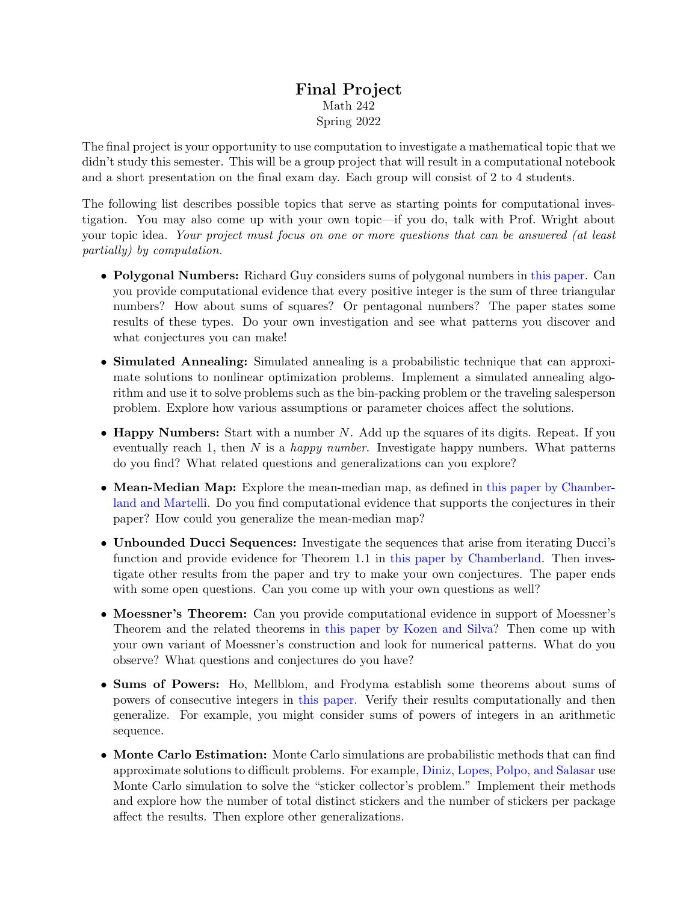## Final Project Math 242 Spring 2022

The final project is your opportunity to use computation to investigate a mathematical topic that we didn't study this semester. This will be a group project that will result in a computational notebook and a short presentation on the final exam day. Each group will consist of 2 to 4 students.

The following list describes possible topics that serve as starting points for computational investigation. You may also come up with your own topic—if you do, talk with Prof. Wright about your topic idea. Your project must focus on one or more questions that can be answered (at least partially) by computation.

- Polygonal Numbers: Richard Guy considers sums of polygonal numbers in [this paper.](https://www.jstor.org/stable/2324367) Can you provide computational evidence that every positive integer is the sum of three triangular numbers? How about sums of squares? Or pentagonal numbers? The paper states some results of these types. Do your own investigation and see what patterns you discover and what conjectures you can make!
- Simulated Annealing: Simulated annealing is a probabilistic technique that can approximate solutions to nonlinear optimization problems. Implement a simulated annealing algorithm and use it to solve problems such as the bin-packing problem or the traveling salesperson problem. Explore how various assumptions or parameter choices affect the solutions.
- Happy Numbers: Start with a number N. Add up the squares of its digits. Repeat. If you eventually reach 1, then N is a *happy number*. Investigate happy numbers. What patterns do you find? What related questions and generalizations can you explore?
- Mean-Median Map: Explore the mean-median map, as defined in [this paper by Chamber](https://chamberland.math.grinnell.edu/papers/mean_median.pdf)[land and Martelli.](https://chamberland.math.grinnell.edu/papers/mean_median.pdf) Do you find computational evidence that supports the conjectures in their paper? How could you generalize the mean-median map?
- Unbounded Ducci Sequences: Investigate the sequences that arise from iterating Ducci's function and provide evidence for Theorem 1.1 in [this paper by Chamberland.](http://www.math.grinnell.edu/~chamberl/papers/ducci_unbounded.pdf) Then investigate other results from the paper and try to make your own conjectures. The paper ends with some open questions. Can you come up with your own questions as well?
- Moessner's Theorem: Can you provide computational evidence in support of Moessner's Theorem and the related theorems in [this paper by Kozen and Silva?](https://www.cs.cornell.edu/~kozen/Papers/Moessner.pdf) Then come up with your own variant of Moessner's construction and look for numerical patterns. What do you observe? What questions and conjectures do you have?
- Sums of Powers: Ho, Mellblom, and Frodyma establish some theorems about sums of powers of consecutive integers in [this paper.](https://doi.org/10.1080/07468342.2020.1776051) Verify their results computationally and then generalize. For example, you might consider sums of powers of integers in an arithmetic sequence.
- Monte Carlo Estimation: Monte Carlo simulations are probabilistic methods that can find approximate solutions to difficult problems. For example, [Diniz, Lopes, Polpo, and Salasar](https://doi.org/10.4169/college.math.j.47.4.255) use Monte Carlo simulation to solve the "sticker collector's problem." Implement their methods and explore how the number of total distinct stickers and the number of stickers per package affect the results. Then explore other generalizations.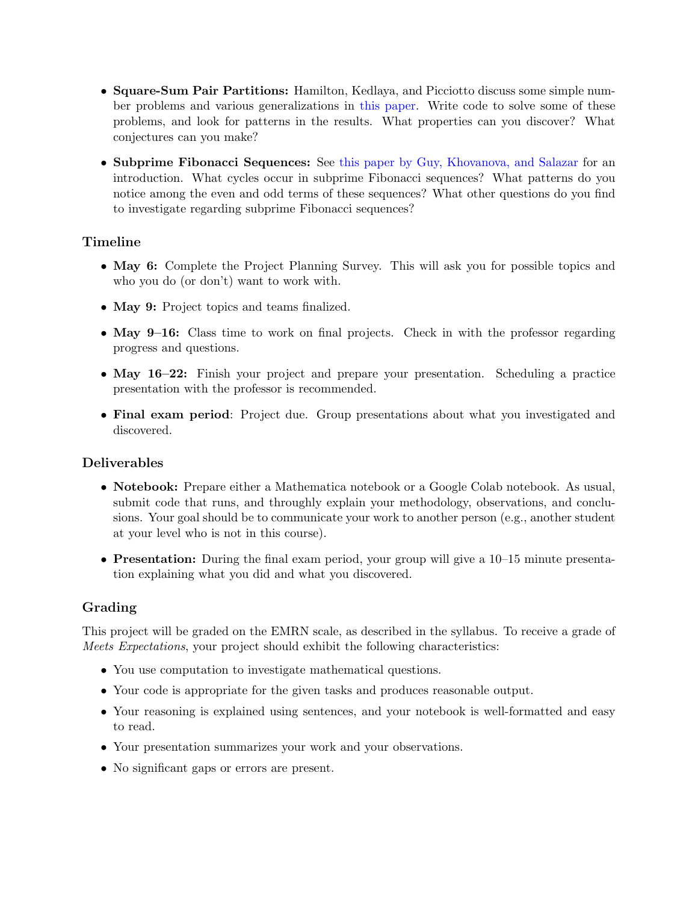- Square-Sum Pair Partitions: Hamilton, Kedlaya, and Picciotto discuss some simple number problems and various generalizations in [this paper.](https://doi.org/10.4169/college.math.j.46.4.264) Write code to solve some of these problems, and look for patterns in the results. What properties can you discover? What conjectures can you make?
- Subprime Fibonacci Sequences: See [this paper by Guy, Khovanova, and Salazar](http://www.jstor.org/stable/10.4169/math.mag.87.5.323) for an introduction. What cycles occur in subprime Fibonacci sequences? What patterns do you notice among the even and odd terms of these sequences? What other questions do you find to investigate regarding subprime Fibonacci sequences?

## Timeline

- May 6: Complete the Project Planning Survey. This will ask you for possible topics and who you do (or don't) want to work with.
- May 9: Project topics and teams finalized.
- May 9–16: Class time to work on final projects. Check in with the professor regarding progress and questions.
- May 16–22: Finish your project and prepare your presentation. Scheduling a practice presentation with the professor is recommended.
- Final exam period: Project due. Group presentations about what you investigated and discovered.

## Deliverables

- Notebook: Prepare either a Mathematica notebook or a Google Colab notebook. As usual, submit code that runs, and throughly explain your methodology, observations, and conclusions. Your goal should be to communicate your work to another person (e.g., another student at your level who is not in this course).
- Presentation: During the final exam period, your group will give a 10–15 minute presentation explaining what you did and what you discovered.

## Grading

This project will be graded on the EMRN scale, as described in the syllabus. To receive a grade of Meets Expectations, your project should exhibit the following characteristics:

- You use computation to investigate mathematical questions.
- Your code is appropriate for the given tasks and produces reasonable output.
- Your reasoning is explained using sentences, and your notebook is well-formatted and easy to read.
- Your presentation summarizes your work and your observations.
- No significant gaps or errors are present.